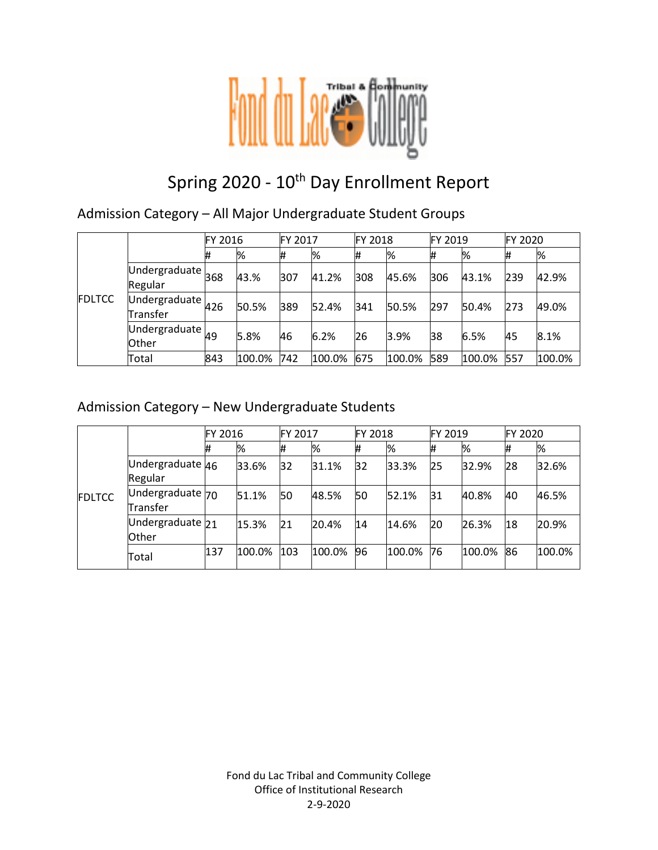

# Spring 2020 - 10<sup>th</sup> Day Enrollment Report

Admission Category – All Major Undergraduate Student Groups

|               |                                                    | FY 2016 |        | <b>FY 2017</b> |        | FY 2018 |        | FY 2019 |        | <b>FY 2020</b> |        |
|---------------|----------------------------------------------------|---------|--------|----------------|--------|---------|--------|---------|--------|----------------|--------|
| <b>FDLTCC</b> |                                                    | #       | %      | #              | %      | #       | %      | #       | %      | #              | %      |
|               | $\overline{\textsf{Undergraduate}}$ 368<br>Regular |         | 43.%   | 307            | 41.2%  | 308     | 45.6%  | 306     | 43.1%  | 239            | 42.9%  |
|               | Undergraduate $426$<br>Transfer                    |         | 50.5%  | 389            | 52.4%  | 341     | 50.5%  | 297     | 50.4%  | 273            | 49.0%  |
|               | Undergraduate $_{49}$<br><b>Other</b>              |         | 5.8%   | 46             | 6.2%   | 26      | 3.9%   | 38      | 6.5%   | 45             | 8.1%   |
|               | Total                                              | 843     | 100.0% | 742            | 100.0% | 675     | 100.0% | 589     | 100.0% | 557            | 100.0% |

### Admission Category – New Undergraduate Students

|               |                                      | FY 2016 |        | FY 2017 |        | <b>FY 2018</b> |        | FY 2019 |        | FY 2020 |        |
|---------------|--------------------------------------|---------|--------|---------|--------|----------------|--------|---------|--------|---------|--------|
| <b>FDLTCC</b> |                                      |         | %      | #       | %      | #              | %      | #       | %      | #       | %      |
|               | Undergraduate 46<br>Regular          |         | 33.6%  | 32      | 31.1%  | 32             | 33.3%  | 25      | 32.9%  | 28      | 32.6%  |
|               | Undergraduate 70<br>Transfer         |         | 51.1%  | 50      | 48.5%  | 50             | 52.1%  | 31      | 40.8%  | 40      | 46.5%  |
|               | Undergraduate <sub>21</sub><br>Other |         | 15.3%  | 21      | 20.4%  | 14             | 14.6%  | 20      | 26.3%  | 18      | 20.9%  |
|               | Total                                | 137     | 100.0% | 103     | 100.0% | 96             | 100.0% | 76      | 100.0% | 86      | 100.0% |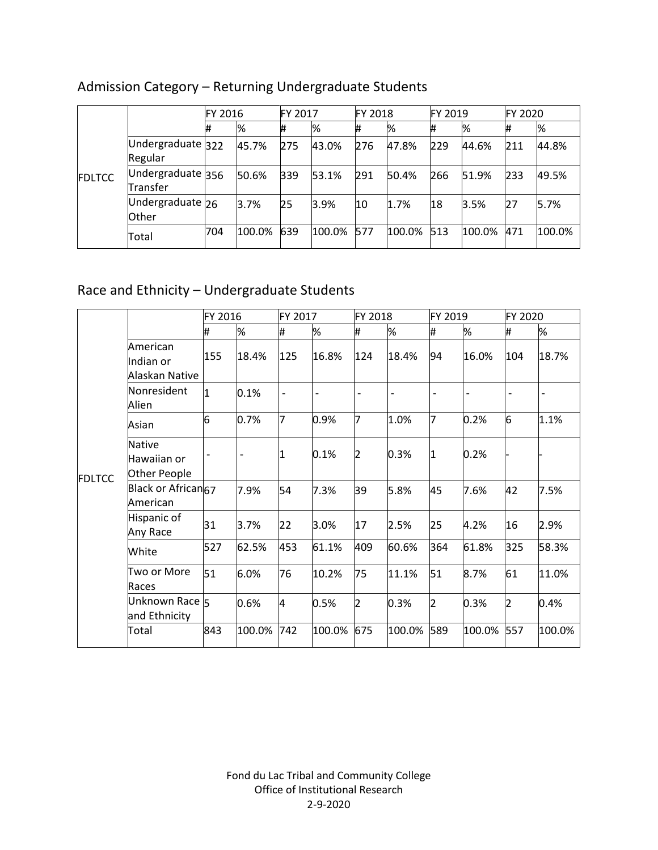|               |                               | FY 2016 |        | <b>FY 2017</b> |        | <b>FY 2018</b> |        | FY 2019 |        | FY 2020 |        |
|---------------|-------------------------------|---------|--------|----------------|--------|----------------|--------|---------|--------|---------|--------|
| <b>FDLTCC</b> |                               | 1#      | %      |                | %      |                | %      | #       | %      |         | %      |
|               | Undergraduate 322<br>Regular  |         | 45.7%  | 275            | 43.0%  | 276            | 47.8%  | 229     | 44.6%  | 211     | 44.8%  |
|               | Undergraduate 356<br>Transfer |         | 50.6%  | 339            | 53.1%  | 291            | 50.4%  | 266     | 51.9%  | 233     | 49.5%  |
|               | Undergraduate 26<br>Other     |         | 3.7%   | 25             | 3.9%   | 10             | 1.7%   | 18      | 3.5%   | 27      | 5.7%   |
|               | Total                         | 704     | 100.0% | 639            | 100.0% | 577            | 100.0% | 513     | 100.0% | 471     | 100.0% |

# Admission Category – Returning Undergraduate Students

# Race and Ethnicity – Undergraduate Students

|               |                                              | FY 2016                  |        | FY 2017        |        | FY 2018        |        | FY 2019 |        | FY 2020        |                          |
|---------------|----------------------------------------------|--------------------------|--------|----------------|--------|----------------|--------|---------|--------|----------------|--------------------------|
|               |                                              | #                        | %      | #              | %      | #              | %      | #       | %      | #              | %                        |
|               | American<br>Indian or<br>Alaskan Native      | 155                      | 18.4%  | 125            | 16.8%  | 124            | 18.4%  | 94      | 16.0%  | 104            | 18.7%                    |
|               | Nonresident<br>Alien                         | 1                        | 0.1%   | $\overline{a}$ |        |                |        |         |        |                | $\overline{\phantom{0}}$ |
|               | Asian                                        | 6                        | 0.7%   | 7              | 0.9%   | 7              | 1.0%   | 7       | 0.2%   | 6              | 1.1%                     |
| <b>FDLTCC</b> | <b>Native</b><br>Hawaiian or<br>Other People | $\overline{\phantom{0}}$ | -      | 1              | 0.1%   | 2              | 0.3%   | 1       | 0.2%   |                |                          |
|               | Black or African <sub>67</sub><br>American   |                          | 7.9%   | 54             | 7.3%   | 39             | 5.8%   | 45      | 7.6%   | 42             | 7.5%                     |
|               | Hispanic of<br>Any Race                      | 31                       | 3.7%   | 22             | 3.0%   | 17             | 2.5%   | 25      | 4.2%   | 16             | 2.9%                     |
|               | White                                        | 527                      | 62.5%  | 453            | 61.1%  | 409            | 60.6%  | 364     | 61.8%  | 325            | 58.3%                    |
|               | Two or More<br>Races                         | 51                       | 6.0%   | 76             | 10.2%  | 75             | 11.1%  | 51      | 8.7%   | 61             | 11.0%                    |
|               | Unknown Race 5<br>and Ethnicity              |                          | 0.6%   | 4              | 0.5%   | $\overline{2}$ | 0.3%   | 2       | 0.3%   | $\overline{2}$ | 0.4%                     |
|               | Total                                        | 843                      | 100.0% | 742            | 100.0% | 675            | 100.0% | 589     | 100.0% | 557            | 100.0%                   |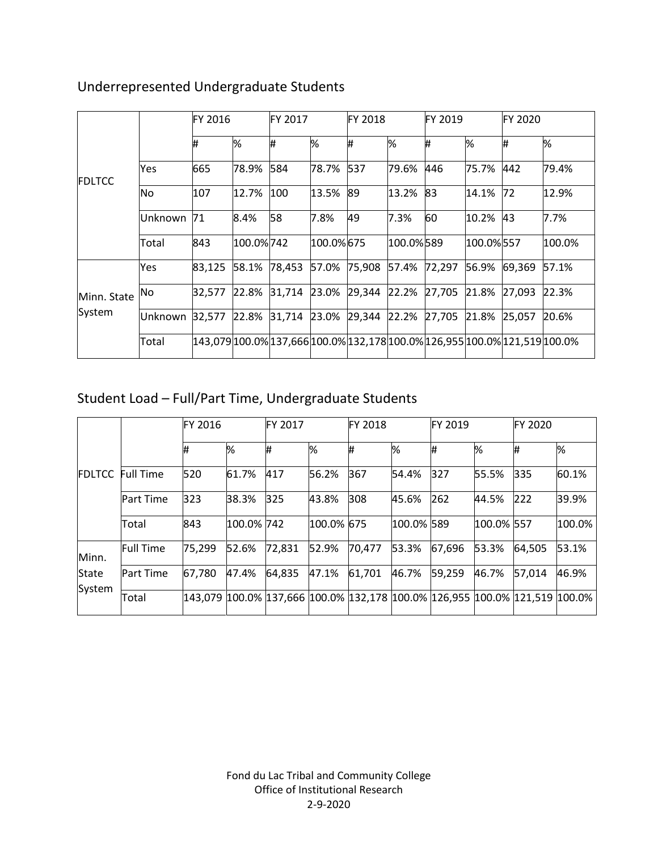|                       |         | FY 2016 |           | FY 2017 |           | <b>FY 2018</b> |           | FY 2019                   |           | FY 2020                                                                    |        |
|-----------------------|---------|---------|-----------|---------|-----------|----------------|-----------|---------------------------|-----------|----------------------------------------------------------------------------|--------|
| <b>FDLTCC</b>         |         | #       | %         | #       | %         | #              | %         | #                         | %         | #                                                                          | %      |
|                       | Yes     | 665     | 78.9%     | 584     | 78.7%     | 537            | 79.6%     | 446                       | 75.7%     | 442                                                                        | 79.4%  |
|                       | No      | 107     | 12.7%     | 100     | 13.5%     | 89             | 13.2%     | 83                        | 14.1%     | 72                                                                         | 12.9%  |
|                       | Unknown | 71      | 8.4%      | 58      | 7.8%      | 49             | 7.3%      | 60                        | 10.2%     | 43                                                                         | 7.7%   |
|                       | Total   | 843     | 100.0%742 |         | 100.0%675 |                | 100.0%589 |                           | 100.0%557 |                                                                            | 100.0% |
|                       | Yes     | 83,125  | 58.1%     | 78,453  | 57.0%     | 75,908         | 57.4%     | 72,297 56.9% 69,369       |           |                                                                            | 57.1%  |
| Minn. State<br>System | No      | 32,577  | 22.8%     | 31,714  | 23.0%     | 29,344         | 22.2%     | 27,705 21.8% 27,093       |           |                                                                            | 22.3%  |
|                       | Unknown | 32,577  | 22.8%     | 31,714  | 23.0%     | 29,344         |           | 22.2% 27,705 21.8% 25,057 |           |                                                                            | 20.6%  |
|                       | Total   |         |           |         |           |                |           |                           |           | 143,079 100.0% 137,666 100.0% 132,178 100.0% 126,955 100.0% 121,519 100.0% |        |

# Underrepresented Undergraduate Students

# Student Load – Full/Part Time, Undergraduate Students

|               |                  | <b>FY 2016</b> |            | FY 2017                                                                             |            | FY 2018 |            | FY 2019 |            | <b>FY 2020</b> |        |
|---------------|------------------|----------------|------------|-------------------------------------------------------------------------------------|------------|---------|------------|---------|------------|----------------|--------|
|               |                  | #              | %          | ₩                                                                                   | ℅          | #       | ℅          | #       | %          | #              | %      |
| <b>FDLTCC</b> | <b>Full Time</b> | 520            | 61.7%      | 417                                                                                 | 56.2%      | 367     | 54.4%      | 327     | 55.5%      | 335            | 60.1%  |
|               | <b>Part Time</b> | 323            | 38.3%      | 325                                                                                 | 43.8%      | 308     | 45.6%      | 262     | 44.5%      | 222            | 39.9%  |
|               | Total            | 843            | 100.0% 742 |                                                                                     | 100.0% 675 |         | 100.0% 589 |         | 100.0% 557 |                | 100.0% |
| Minn.         | <b>Full Time</b> | 75,299         | 52.6%      | 72,831                                                                              | 52.9%      | 70,477  | 53.3%      | 67,696  | 53.3%      | 64,505         | 53.1%  |
| State         | <b>Part Time</b> | 67,780         | 47.4%      | 64,835                                                                              | 47.1%      | 61,701  | 46.7%      | 59,259  | 46.7%      | 57,014         | 46.9%  |
| System        | Total            |                |            | 143,079  100.0%  137,666  100.0%  132,178  100.0%  126,955  100.0%  121,519  100.0% |            |         |            |         |            |                |        |